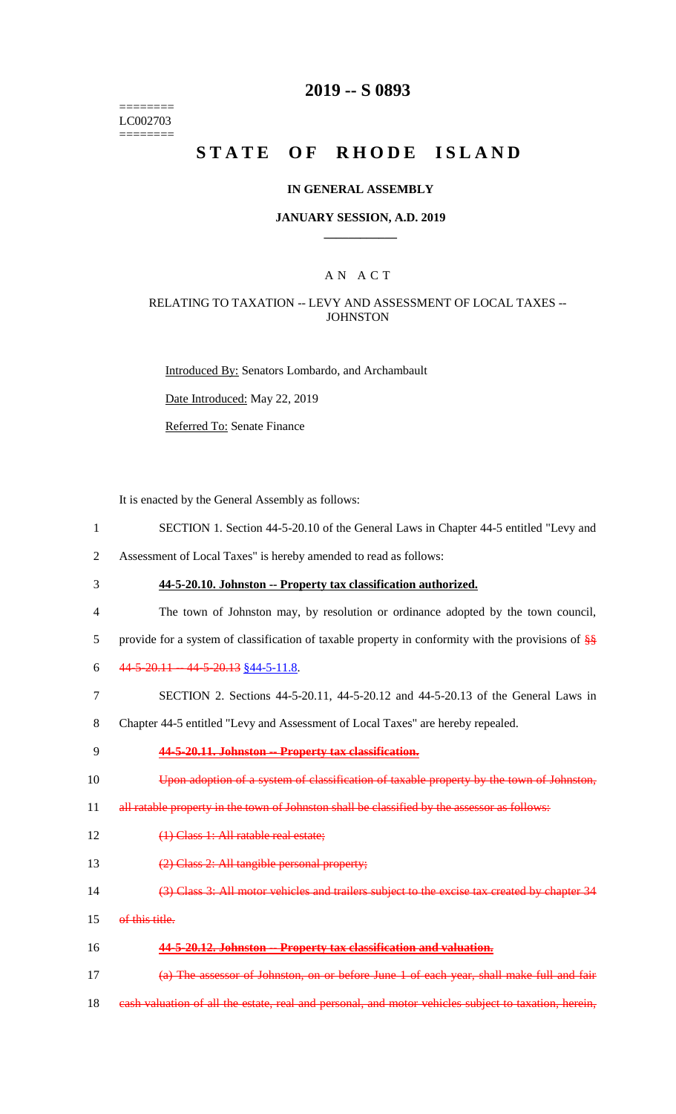======== LC002703 ========

## **2019 -- S 0893**

# STATE OF RHODE ISLAND

#### **IN GENERAL ASSEMBLY**

#### **JANUARY SESSION, A.D. 2019 \_\_\_\_\_\_\_\_\_\_\_\_**

#### A N A C T

#### RELATING TO TAXATION -- LEVY AND ASSESSMENT OF LOCAL TAXES -- **JOHNSTON**

Introduced By: Senators Lombardo, and Archambault

Date Introduced: May 22, 2019

Referred To: Senate Finance

It is enacted by the General Assembly as follows:

1 SECTION 1. Section 44-5-20.10 of the General Laws in Chapter 44-5 entitled "Levy and

2 Assessment of Local Taxes" is hereby amended to read as follows:

3 **44-5-20.10. Johnston -- Property tax classification authorized.**

4 The town of Johnston may, by resolution or ordinance adopted by the town council,

5 provide for a system of classification of taxable property in conformity with the provisions of  $\frac{88}{30}$ 

- 6  $44-5-20.11 44-5-20.13$  \$44-5-11.8.
- 7 SECTION 2. Sections 44-5-20.11, 44-5-20.12 and 44-5-20.13 of the General Laws in

8 Chapter 44-5 entitled "Levy and Assessment of Local Taxes" are hereby repealed.

9 **44-5-20.11. Johnston -- Property tax classification.**

10 Upon adoption of a system of classification of taxable property by the town of Johnston,

11 all ratable property in the town of Johnston shall be classified by the assessor as follows:

- 12 (1) Class 1: All ratable real estate;
- 13 (2) Class 2: All tangible personal property;
- 14 (3) Class 3: All motor vehicles and trailers subject to the excise tax created by chapter 34
- 15 of this title.
- 16 **44-5-20.12. Johnston -- Property tax classification and valuation.**

17 (a) The assessor of Johnston, on or before June 1 of each year, shall make full and fair

18 eash valuation of all the estate, real and personal, and motor vehicles subject to taxation, herein,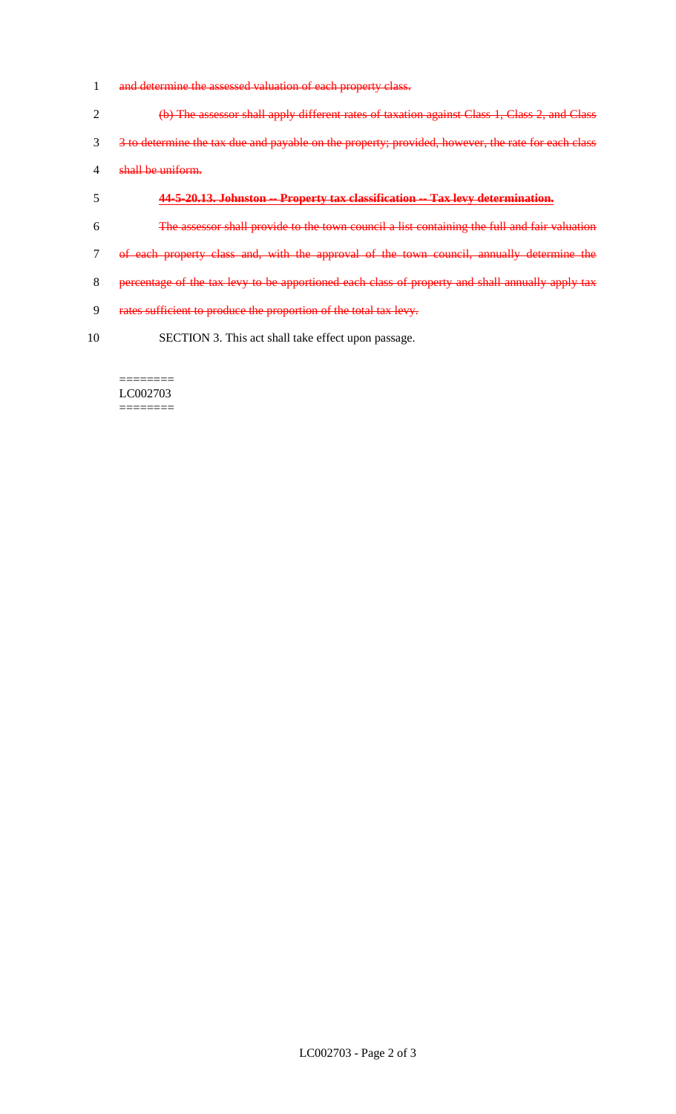- and determine the assessed valuation of each property class.
- (b) The assessor shall apply different rates of taxation against Class 1, Class 2, and Class 3 to determine the tax due and payable on the property; provided, however, the rate for each class shall be uniform.
- **44-5-20.13. Johnston -- Property tax classification -- Tax levy determination.**
- The assessor shall provide to the town council a list containing the full and fair valuation
- of each property class and, with the approval of the town council, annually determine the
- 8 percentage of the tax levy to be apportioned each class of property and shall annually apply tax
- rates sufficient to produce the proportion of the total tax levy.
- SECTION 3. This act shall take effect upon passage.

======== LC002703 ========